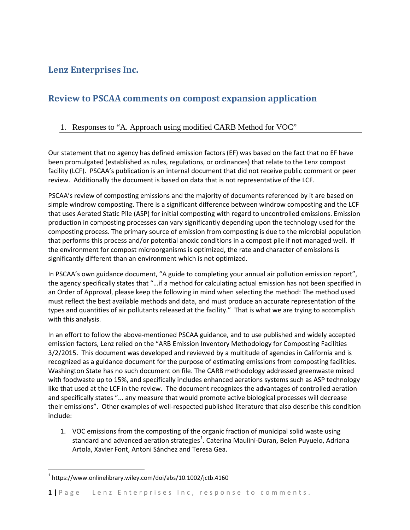# **Lenz Enterprises Inc.**

# **Review to PSCAA comments on compost expansion application**

## 1. Responses to "A. Approach using modified CARB Method for VOC"

Our statement that no agency has defined emission factors (EF) was based on the fact that no EF have been promulgated (established as rules, regulations, or ordinances) that relate to the Lenz compost facility (LCF). PSCAA's publication is an internal document that did not receive public comment or peer review. Additionally the document is based on data that is not representative of the LCF.

PSCAA's review of composting emissions and the majority of documents referenced by it are based on simple windrow composting. There is a significant difference between windrow composting and the LCF that uses Aerated Static Pile (ASP) for initial composting with regard to uncontrolled emissions. Emission production in composting processes can vary significantly depending upon the technology used for the composting process. The primary source of emission from composting is due to the microbial population that performs this process and/or potential anoxic conditions in a compost pile if not managed well. If the environment for compost microorganisms is optimized, the rate and character of emissions is significantly different than an environment which is not optimized.

In PSCAA's own guidance document, "A guide to completing your annual air pollution emission report", the agency specifically states that "…if a method for calculating actual emission has not been specified in an Order of Approval, please keep the following in mind when selecting the method: The method used must reflect the best available methods and data, and must produce an accurate representation of the types and quantities of air pollutants released at the facility." That is what we are trying to accomplish with this analysis.

In an effort to follow the above-mentioned PSCAA guidance, and to use published and widely accepted emission factors, Lenz relied on the "ARB Emission Inventory Methodology for Composting Facilities 3/2/2015. This document was developed and reviewed by a multitude of agencies in California and is recognized as a guidance document for the purpose of estimating emissions from composting facilities. Washington State has no such document on file. The CARB methodology addressed greenwaste mixed with foodwaste up to 15%, and specifically includes enhanced aerations systems such as ASP technology like that used at the LCF in the review. The document recognizes the advantages of controlled aeration and specifically states "... any measure that would promote active biological processes will decrease their emissions". Other examples of well-respected published literature that also describe this condition include:

1. VOC emissions from the composting of the organic fraction of municipal solid waste using standard and advanced aeration strategies<sup>[1](#page-0-0)</sup>. Caterina Maulini-Duran, Belen Puyuelo, Adriana Artola, Xavier Font, Antoni Sánchez and Teresa Gea.

<span id="page-0-1"></span><span id="page-0-0"></span> $1$  https://www.onlinelibrary.wiley.com/doi/abs/10.1002/jctb.4160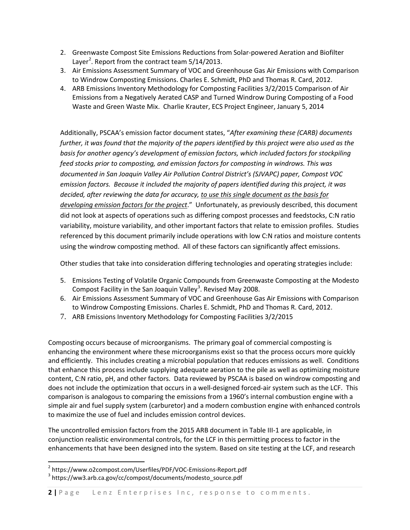- 2. Greenwaste Compost Site Emissions Reductions from Solar-powered Aeration and Biofilter Layer<sup>[2](#page-0-1)</sup>. Report from the contract team  $5/14/2013$ .
- 3. Air Emissions Assessment Summary of VOC and Greenhouse Gas Air Emissions with Comparison to Windrow Composting Emissions. Charles E. Schmidt, PhD and Thomas R. Card, 2012.
- 4. ARB Emissions Inventory Methodology for Composting Facilities 3/2/2015 Comparison of Air Emissions from a Negatively Aerated CASP and Turned Windrow During Composting of a Food Waste and Green Waste Mix. Charlie Krauter, ECS Project Engineer, January 5, 2014

Additionally, PSCAA's emission factor document states, "*After examining these (CARB) documents further, it was found that the majority of the papers identified by this project were also used as the basis for another agency's development of emission factors, which included factors for stockpiling feed stocks prior to composting, and emission factors for composting in windrows. This was documented in San Joaquin Valley Air Pollution Control District's (SJVAPC) paper, Compost VOC emission factors. Because it included the majority of papers identified during this project, it was decided, after reviewing the data for accuracy, to use this single document as the basis for developing emission factors for the project*." Unfortunately, as previously described, this document did not look at aspects of operations such as differing compost processes and feedstocks, C:N ratio variability, moisture variability, and other important factors that relate to emission profiles. Studies referenced by this document primarily include operations with low C:N ratios and moisture contents using the windrow composting method. All of these factors can significantly affect emissions.

Other studies that take into consideration differing technologies and operating strategies include:

- 5. Emissions Testing of Volatile Organic Compounds from Greenwaste Composting at the Modesto Compost Facility in the San Joaquin Valley<sup>[3](#page-1-0)</sup>. Revised May 2008.
- 6. Air Emissions Assessment Summary of VOC and Greenhouse Gas Air Emissions with Comparison to Windrow Composting Emissions. Charles E. Schmidt, PhD and Thomas R. Card, 2012.
- 7. ARB Emissions Inventory Methodology for Composting Facilities 3/2/2015

Composting occurs because of microorganisms. The primary goal of commercial composting is enhancing the environment where these microorganisms exist so that the process occurs more quickly and efficiently. This includes creating a microbial population that reduces emissions as well. Conditions that enhance this process include supplying adequate aeration to the pile as well as optimizing moisture content, C:N ratio, pH, and other factors. Data reviewed by PSCAA is based on windrow composting and does not include the optimization that occurs in a well-designed forced-air system such as the LCF. This comparison is analogous to comparing the emissions from a 1960's internal combustion engine with a simple air and fuel supply system (carburetor) and a modern combustion engine with enhanced controls to maximize the use of fuel and includes emission control devices.

The uncontrolled emission factors from the 2015 ARB document in Table III-1 are applicable, in conjunction realistic environmental controls, for the LCF in this permitting process to factor in the enhancements that have been designed into the system. Based on site testing at the LCF, and research

<span id="page-1-1"></span> $^2$  https://www.o2compost.com/Userfiles/PDF/VOC-Emissions-Report.pdf<br> $^3$  https://ww3.arb.ca.gov/cc/compost/documents/modesto\_source.pdf

<span id="page-1-0"></span>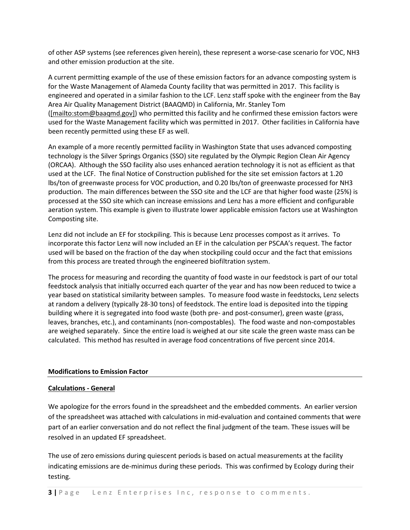of other ASP systems (see references given herein), these represent a worse-case scenario for VOC, NH3 and other emission production at the site.

A current permitting example of the use of these emission factors for an advance composting system is for the Waste Management of Alameda County facility that was permitted in 2017. This facility is engineered and operated in a similar fashion to the LCF. Lenz staff spoke with the engineer from the Bay Area Air Quality Management District (BAAQMD) in California, Mr. Stanley Tom [\(\[mailto:stom@baaqmd.gov\]\)](mailto:[mailto:stom@baaqmd.gov]) who permitted this facility and he confirmed these emission factors were used for the Waste Management facility which was permitted in 2017. Other facilities in California have been recently permitted using these EF as well.

An example of a more recently permitted facility in Washington State that uses advanced composting technology is the Silver Springs Organics (SSO) site regulated by the Olympic Region Clean Air Agency (ORCAA). Although the SSO facility also uses enhanced aeration technology it is not as efficient as that used at the LCF. The final Notice of Construction published for the site set emission factors at 1.20 lbs/ton of greenwaste process for VOC production, and 0.20 lbs/ton of greenwaste processed for NH3 production. The main differences between the SSO site and the LCF are that higher food waste (25%) is processed at the SSO site which can increase emissions and Lenz has a more efficient and configurable aeration system. This example is given to illustrate lower applicable emission factors use at Washington Composting site.

Lenz did not include an EF for stockpiling. This is because Lenz processes compost as it arrives. To incorporate this factor Lenz will now included an EF in the calculation per PSCAA's request. The factor used will be based on the fraction of the day when stockpiling could occur and the fact that emissions from this process are treated through the engineered biofiltration system.

The process for measuring and recording the quantity of food waste in our feedstock is part of our total feedstock analysis that initially occurred each quarter of the year and has now been reduced to twice a year based on statistical similarity between samples. To measure food waste in feedstocks, Lenz selects at random a delivery (typically 28-30 tons) of feedstock. The entire load is deposited into the tipping building where it is segregated into food waste (both pre- and post-consumer), green waste (grass, leaves, branches, etc.), and contaminants (non-compostables). The food waste and non-compostables are weighed separately. Since the entire load is weighed at our site scale the green waste mass can be calculated. This method has resulted in average food concentrations of five percent since 2014.

#### **Modifications to Emission Factor**

#### **Calculations - General**

We apologize for the errors found in the spreadsheet and the embedded comments. An earlier version of the spreadsheet was attached with calculations in mid-evaluation and contained comments that were part of an earlier conversation and do not reflect the final judgment of the team. These issues will be resolved in an updated EF spreadsheet.

The use of zero emissions during quiescent periods is based on actual measurements at the facility indicating emissions are de-minimus during these periods. This was confirmed by Ecology during their testing.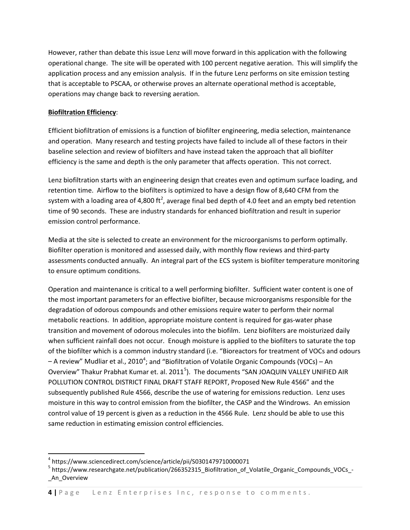However, rather than debate this issue Lenz will move forward in this application with the following operational change. The site will be operated with 100 percent negative aeration. This will simplify the application process and any emission analysis. If in the future Lenz performs on site emission testing that is acceptable to PSCAA, or otherwise proves an alternate operational method is acceptable, operations may change back to reversing aeration.

#### **Biofiltration Efficiency**:

Efficient biofiltration of emissions is a function of biofilter engineering, media selection, maintenance and operation. Many research and testing projects have failed to include all of these factors in their baseline selection and review of biofilters and have instead taken the approach that all biofilter efficiency is the same and depth is the only parameter that affects operation. This not correct.

Lenz biofiltration starts with an engineering design that creates even and optimum surface loading, and retention time. Airflow to the biofilters is optimized to have a design flow of 8,640 CFM from the system with a loading area of 4,800 ft<sup>2</sup>, average final bed depth of 4.0 feet and an empty bed retention time of 90 seconds. These are industry standards for enhanced biofiltration and result in superior emission control performance.

Media at the site is selected to create an environment for the microorganisms to perform optimally. Biofilter operation is monitored and assessed daily, with monthly flow reviews and third-party assessments conducted annually. An integral part of the ECS system is biofilter temperature monitoring to ensure optimum conditions.

Operation and maintenance is critical to a well performing biofilter. Sufficient water content is one of the most important parameters for an effective biofilter, because microorganisms responsible for the degradation of odorous compounds and other emissions require water to perform their normal metabolic reactions. In addition, appropriate moisture content is required for gas-water phase transition and movement of odorous molecules into the biofilm. Lenz biofilters are moisturized daily when sufficient rainfall does not occur. Enough moisture is applied to the biofilters to saturate the top of the biofilter which is a common industry standard (i.e. "Bioreactors for treatment of VOCs and odours  $-$  A review" Mudliar et al., 2010<sup>[4](#page-1-1)</sup>; and "Biofiltration of Volatile Organic Compounds (VOCs)  $-$  An Overview" Thakur Prabhat Kumar et. al. 2011<sup>[5](#page-3-0)</sup>). The documents "SAN JOAQUIN VALLEY UNIFIED AIR POLLUTION CONTROL DISTRICT FINAL DRAFT STAFF REPORT, Proposed New Rule 4566" and the subsequently published Rule 4566, describe the use of watering for emissions reduction. Lenz uses moisture in this way to control emission from the biofilter, the CASP and the Windrows. An emission control value of 19 percent is given as a reduction in the 4566 Rule. Lenz should be able to use this same reduction in estimating emission control efficiencies.

 $4$  https://www.sciencedirect.com/science/article/pii/S0301479710000071

<span id="page-3-1"></span><span id="page-3-0"></span><sup>5</sup> https://www.researchgate.net/publication/266352315\_Biofiltration\_of\_Volatile\_Organic\_Compounds\_VOCs\_- \_An\_Overview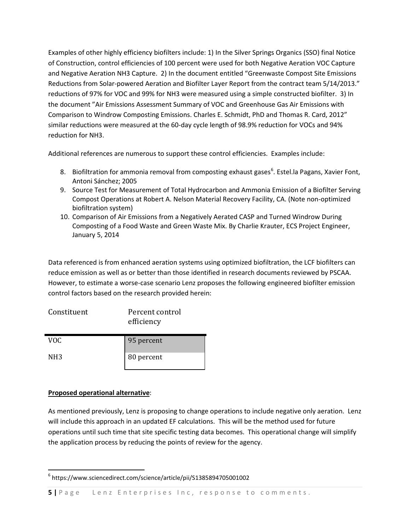Examples of other highly efficiency biofilters include: 1) In the Silver Springs Organics (SSO) final Notice of Construction, control efficiencies of 100 percent were used for both Negative Aeration VOC Capture and Negative Aeration NH3 Capture. 2) In the document entitled "Greenwaste Compost Site Emissions Reductions from Solar-powered Aeration and Biofilter Layer Report from the contract team 5/14/2013." reductions of 97% for VOC and 99% for NH3 were measured using a simple constructed biofilter. 3) In the document "Air Emissions Assessment Summary of VOC and Greenhouse Gas Air Emissions with Comparison to Windrow Composting Emissions. Charles E. Schmidt, PhD and Thomas R. Card, 2012" similar reductions were measured at the 60-day cycle length of 98.9% reduction for VOCs and 94% reduction for NH3.

Additional references are numerous to support these control efficiencies. Examples include:

- 8. Biofiltration for ammonia removal from composting exhaust gases<sup>[6](#page-3-1)</sup>. Estel. la Pagans, Xavier Font, Antoni Sánchez; 2005
- 9. Source Test for Measurement of Total Hydrocarbon and Ammonia Emission of a Biofilter Serving Compost Operations at Robert A. Nelson Material Recovery Facility, CA. (Note non-optimized biofiltration system)
- 10. Comparison of Air Emissions from a Negatively Aerated CASP and Turned Windrow During Composting of a Food Waste and Green Waste Mix. By Charlie Krauter, ECS Project Engineer, January 5, 2014

Data referenced is from enhanced aeration systems using optimized biofiltration, the LCF biofilters can reduce emission as well as or better than those identified in research documents reviewed by PSCAA. However, to estimate a worse-case scenario Lenz proposes the following engineered biofilter emission control factors based on the research provided herein:

| Constituent     | Percent control<br>efficiency |
|-----------------|-------------------------------|
| VOC.            | 95 percent                    |
| NH <sub>3</sub> | 80 percent                    |

## **Proposed operational alternative**:

As mentioned previously, Lenz is proposing to change operations to include negative only aeration. Lenz will include this approach in an updated EF calculations. This will be the method used for future operations until such time that site specific testing data becomes. This operational change will simplify the application process by reducing the points of review for the agency.

<span id="page-4-0"></span> <sup>6</sup> https://www.sciencedirect.com/science/article/pii/S1385894705001002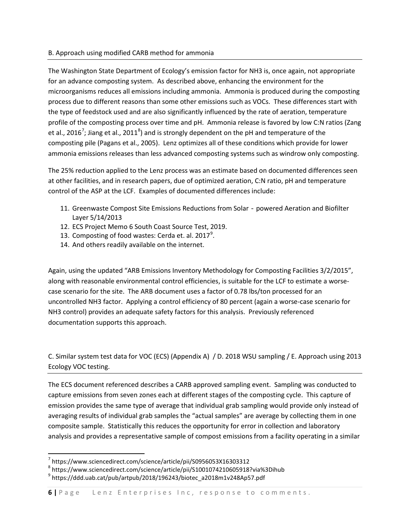#### B. Approach using modified CARB method for ammonia

The Washington State Department of Ecology's emission factor for NH3 is, once again, not appropriate for an advance composting system. As described above, enhancing the environment for the microorganisms reduces all emissions including ammonia. Ammonia is produced during the composting process due to different reasons than some other emissions such as VOCs. These differences start with the type of feedstock used and are also significantly influenced by the rate of aeration, temperature profile of the composting process over time and pH. Ammonia release is favored by low C:N ratios (Zang et al., 2016<sup>[7](#page-4-0)</sup>; Jiang et al., 2011<sup>[8](#page-5-0)</sup>) and is strongly dependent on the pH and temperature of the composting pile (Pagans et al., 2005). Lenz optimizes all of these conditions which provide for lower ammonia emissions releases than less advanced composting systems such as windrow only composting.

The 25% reduction applied to the Lenz process was an estimate based on documented differences seen at other facilities, and in research papers, due of optimized aeration, C:N ratio, pH and temperature control of the ASP at the LCF. Examples of documented differences include:

- 11. Greenwaste Compost Site Emissions Reductions from Solar powered Aeration and Biofilter Layer 5/14/2013
- 12. ECS Project Memo 6 South Coast Source Test, 2019.
- 13. Composting of food wastes: Cerda et. al. 2017 $^9$  $^9$ .
- 14. And others readily available on the internet.

Again, using the updated "ARB Emissions Inventory Methodology for Composting Facilities 3/2/2015", along with reasonable environmental control efficiencies, is suitable for the LCF to estimate a worsecase scenario for the site. The ARB document uses a factor of 0.78 lbs/ton processed for an uncontrolled NH3 factor. Applying a control efficiency of 80 percent (again a worse-case scenario for NH3 control) provides an adequate safety factors for this analysis. Previously referenced documentation supports this approach.

C. Similar system test data for VOC (ECS) (Appendix A) / D. 2018 WSU sampling / E. Approach using 2013 Ecology VOC testing.

The ECS document referenced describes a CARB approved sampling event. Sampling was conducted to capture emissions from seven zones each at different stages of the composting cycle. This capture of emission provides the same type of average that individual grab sampling would provide only instead of averaging results of individual grab samples the "actual samples" are average by collecting them in one composite sample. Statistically this reduces the opportunity for error in collection and laboratory analysis and provides a representative sample of compost emissions from a facility operating in a similar

 <sup>7</sup> https://www.sciencedirect.com/science/article/pii/S0956053X16303312

<span id="page-5-0"></span> $^8$  https://www.sciencedirect.com/science/article/pii/S1001074210605918?via%3Dihub

<span id="page-5-1"></span> $^9$  https://ddd.uab.cat/pub/artpub/2018/196243/biotec\_a2018m1v248Ap57.pdf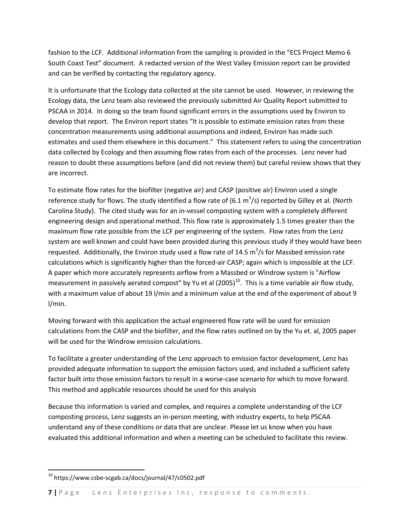fashion to the LCF. Additional information from the sampling is provided in the "ECS Project Memo 6 South Coast Test" document. A redacted version of the West Valley Emission report can be provided and can be verified by contacting the regulatory agency.

It is unfortunate that the Ecology data collected at the site cannot be used. However, in reviewing the Ecology data, the Lenz team also reviewed the previously submitted Air Quality Report submitted to PSCAA in 2014. In doing so the team found significant errors in the assumptions used by Environ to develop that report. The Environ report states "It is possible to estimate emission rates from these concentration measurements using additional assumptions and indeed, Environ has made such estimates and used them elsewhere in this document." This statement refers to using the concentration data collected by Ecology and then assuming flow rates from each of the processes. Lenz never had reason to doubt these assumptions before (and did not review them) but careful review shows that they are incorrect.

To estimate flow rates for the biofilter (negative air) and CASP (positive air) Environ used a single reference study for flows. The study identified a flow rate of (6.1  $\text{m}^3\text{/s}$ ) reported by Gilley et al. (North Carolina Study). The cited study was for an in-vessel composting system with a completely different engineering design and operational method. This flow rate is approximately 1.5 times greater than the maximum flow rate possible from the LCF per engineering of the system. Flow rates from the Lenz system are well known and could have been provided during this previous study if they would have been requested. Additionally, the Environ study used a flow rate of 14.5  $m^3/s$  for Massbed emission rate calculations which is significantly higher than the forced-air CASP; again which is impossible at the LCF. A paper which more accurately represents airflow from a Massbed or Windrow system is "Airflow measurement in passively aerated compost" by Yu et al  $(2005)^{10}$ . This is a time variable air flow study, with a maximum value of about 19 l/min and a minimum value at the end of the experiment of about 9 l/min.

Moving forward with this application the actual engineered flow rate will be used for emission calculations from the CASP and the biofilter, and the flow rates outlined on by the Yu et. al, 2005 paper will be used for the Windrow emission calculations.

To facilitate a greater understanding of the Lenz approach to emission factor development, Lenz has provided adequate information to support the emission factors used, and included a sufficient safety factor built into those emission factors to result in a worse-case scenario for which to move forward. This method and applicable resources should be used for this analysis

<span id="page-6-0"></span>Because this information is varied and complex, and requires a complete understanding of the LCF composting process, Lenz suggests an in-person meeting, with industry experts, to help PSCAA understand any of these conditions or data that are unclear. Please let us know when you have evaluated this additional information and when a meeting can be scheduled to facilitate this review.

 <sup>10</sup> https://www.csbe-scgab.ca/docs/journal/47/c0502.pdf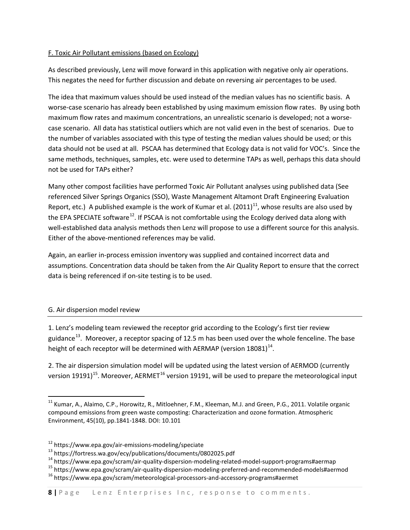#### F. Toxic Air Pollutant emissions (based on Ecology)

As described previously, Lenz will move forward in this application with negative only air operations. This negates the need for further discussion and debate on reversing air percentages to be used.

The idea that maximum values should be used instead of the median values has no scientific basis. A worse-case scenario has already been established by using maximum emission flow rates. By using both maximum flow rates and maximum concentrations, an unrealistic scenario is developed; not a worsecase scenario. All data has statistical outliers which are not valid even in the best of scenarios. Due to the number of variables associated with this type of testing the median values should be used; or this data should not be used at all. PSCAA has determined that Ecology data is not valid for VOC's. Since the same methods, techniques, samples, etc. were used to determine TAPs as well, perhaps this data should not be used for TAPs either?

Many other compost facilities have performed Toxic Air Pollutant analyses using published data (See referenced Silver Springs Organics (SSO), Waste Management Altamont Draft Engineering Evaluation Report, etc.) A published example is the work of Kumar et al.  $(2011)^{11}$ , whose results are also used by the EPA SPECIATE software<sup>12</sup>. If PSCAA is not comfortable using the Ecology derived data along with well-established data analysis methods then Lenz will propose to use a different source for this analysis. Either of the above-mentioned references may be valid.

Again, an earlier in-process emission inventory was supplied and contained incorrect data and assumptions. Concentration data should be taken from the Air Quality Report to ensure that the correct data is being referenced if on-site testing is to be used.

## G. Air dispersion model review

1. Lenz's modeling team reviewed the receptor grid according to the Ecology's first tier review guidance<sup>13</sup>. Moreover, a receptor spacing of 12.5 m has been used over the whole fenceline. The base height of each receptor will be determined with AERMAP (version  $18081$ )<sup>[14](#page-7-2)</sup>.

2. The air dispersion simulation model will be updated using the latest version of AERMOD (currently version 19191)<sup>15</sup>. Moreover, AERMET<sup>[16](#page-7-4)</sup> version 19191, will be used to prepare the meteorological input

<sup>&</sup>lt;sup>11</sup> Kumar, A., Alaimo, C.P., Horowitz, R., Mitloehner, F.M., Kleeman, M.J. and Green, P.G., 2011. Volatile organic compound emissions from green waste composting: Characterization and ozone formation. Atmospheric Environment, 45(10), pp.1841-1848. DOI: 10.101

<span id="page-7-2"></span>

<span id="page-7-1"></span><span id="page-7-0"></span><sup>&</sup>lt;sup>12</sup> https://www.epa.gov/air-emissions-modeling/speciate<br>
<sup>13</sup> https://fortress.wa.gov/ecy/publications/documents/0802025.pdf<br>
<sup>14</sup> https://www.epa.gov/scram/air-quality-dispersion-modeling-related-model-support-programs#

<span id="page-7-4"></span><span id="page-7-3"></span>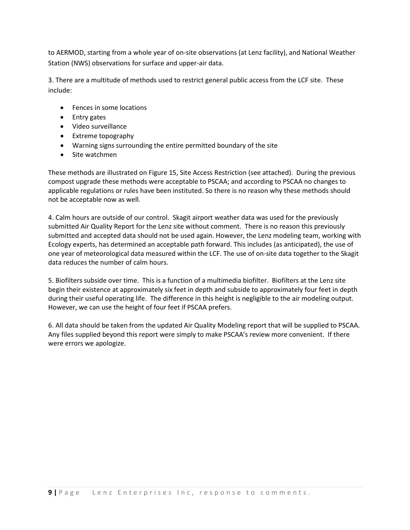to AERMOD, starting from a whole year of on-site observations (at Lenz facility), and National Weather Station (NWS) observations for surface and upper-air data.

3. There are a multitude of methods used to restrict general public access from the LCF site. These include:

- Fences in some locations
- Entry gates
- Video surveillance
- Extreme topography
- Warning signs surrounding the entire permitted boundary of the site
- Site watchmen

These methods are illustrated on Figure 15, Site Access Restriction (see attached). During the previous compost upgrade these methods were acceptable to PSCAA; and according to PSCAA no changes to applicable regulations or rules have been instituted. So there is no reason why these methods should not be acceptable now as well.

4. Calm hours are outside of our control. Skagit airport weather data was used for the previously submitted Air Quality Report for the Lenz site without comment. There is no reason this previously submitted and accepted data should not be used again. However, the Lenz modeling team, working with Ecology experts, has determined an acceptable path forward. This includes (as anticipated), the use of one year of meteorological data measured within the LCF. The use of on-site data together to the Skagit data reduces the number of calm hours.

5. Biofilters subside over time. This is a function of a multimedia biofilter. Biofilters at the Lenz site begin their existence at approximately six feet in depth and subside to approximately four feet in depth during their useful operating life. The difference in this height is negligible to the air modeling output. However, we can use the height of four feet if PSCAA prefers.

6. All data should be taken from the updated Air Quality Modeling report that will be supplied to PSCAA. Any files supplied beyond this report were simply to make PSCAA's review more convenient. If there were errors we apologize.